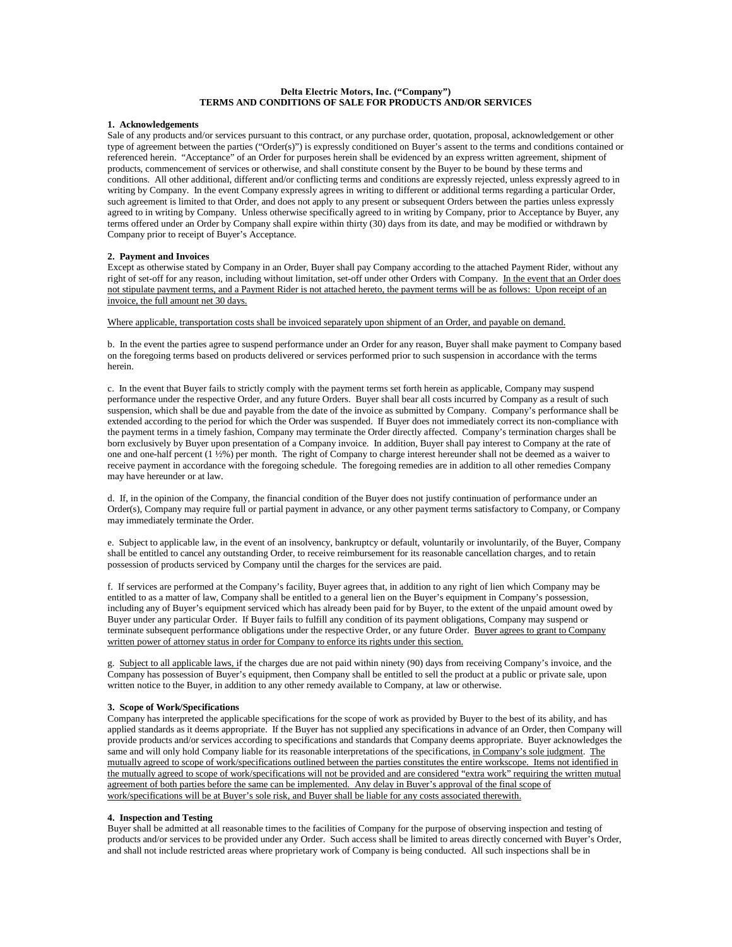# **Delta Electric Motors, Inc. ("Company") TERMS AND CONDITIONS OF SALE FOR PRODUCTS AND/OR SERVICES**

## **1. Acknowledgements**

Sale of any products and/or services pursuant to this contract, or any purchase order, quotation, proposal, acknowledgement or other type of agreement between the parties ("Order(s)") is expressly conditioned on Buyer's assent to the terms and conditions contained or referenced herein. "Acceptance" of an Order for purposes herein shall be evidenced by an express written agreement, shipment of products, commencement of services or otherwise, and shall constitute consent by the Buyer to be bound by these terms and conditions. All other additional, different and/or conflicting terms and conditions are expressly rejected, unless expressly agreed to in writing by Company. In the event Company expressly agrees in writing to different or additional terms regarding a particular Order, such agreement is limited to that Order, and does not apply to any present or subsequent Orders between the parties unless expressly agreed to in writing by Company. Unless otherwise specifically agreed to in writing by Company, prior to Acceptance by Buyer, any terms offered under an Order by Company shall expire within thirty (30) days from its date, and may be modified or withdrawn by Company prior to receipt of Buyer's Acceptance.

### **2. Payment and Invoices**

Except as otherwise stated by Company in an Order, Buyer shall pay Company according to the attached Payment Rider, without any right of set-off for any reason, including without limitation, set-off under other Orders with Company. In the event that an Order does not stipulate payment terms, and a Payment Rider is not attached hereto, the payment terms will be as follows: Upon receipt of an invoice, the full amount net 30 days.

Where applicable, transportation costs shall be invoiced separately upon shipment of an Order, and payable on demand.

b. In the event the parties agree to suspend performance under an Order for any reason, Buyer shall make payment to Company based on the foregoing terms based on products delivered or services performed prior to such suspension in accordance with the terms herein.

c. In the event that Buyer fails to strictly comply with the payment terms set forth herein as applicable, Company may suspend performance under the respective Order, and any future Orders. Buyer shall bear all costs incurred by Company as a result of such suspension, which shall be due and payable from the date of the invoice as submitted by Company. Company's performance shall be extended according to the period for which the Order was suspended. If Buyer does not immediately correct its non-compliance with the payment terms in a timely fashion, Company may terminate the Order directly affected. Company's termination charges shall be born exclusively by Buyer upon presentation of a Company invoice. In addition, Buyer shall pay interest to Company at the rate of one and one-half percent (1 ½%) per month. The right of Company to charge interest hereunder shall not be deemed as a waiver to receive payment in accordance with the foregoing schedule. The foregoing remedies are in addition to all other remedies Company may have hereunder or at law.

d. If, in the opinion of the Company, the financial condition of the Buyer does not justify continuation of performance under an Order(s), Company may require full or partial payment in advance, or any other payment terms satisfactory to Company, or Company may immediately terminate the Order.

e. Subject to applicable law, in the event of an insolvency, bankruptcy or default, voluntarily or involuntarily, of the Buyer, Company shall be entitled to cancel any outstanding Order, to receive reimbursement for its reasonable cancellation charges, and to retain possession of products serviced by Company until the charges for the services are paid.

f. If services are performed at the Company's facility, Buyer agrees that, in addition to any right of lien which Company may be entitled to as a matter of law, Company shall be entitled to a general lien on the Buyer's equipment in Company's possession, including any of Buyer's equipment serviced which has already been paid for by Buyer, to the extent of the unpaid amount owed by Buyer under any particular Order. If Buyer fails to fulfill any condition of its payment obligations, Company may suspend or terminate subsequent performance obligations under the respective Order, or any future Order. Buyer agrees to grant to Company written power of attorney status in order for Company to enforce its rights under this section.

g. Subject to all applicable laws, if the charges due are not paid within ninety (90) days from receiving Company's invoice, and the Company has possession of Buyer's equipment, then Company shall be entitled to sell the product at a public or private sale, upon written notice to the Buyer, in addition to any other remedy available to Company, at law or otherwise.

## **3. Scope of Work/Specifications**

Company has interpreted the applicable specifications for the scope of work as provided by Buyer to the best of its ability, and has applied standards as it deems appropriate. If the Buyer has not supplied any specifications in advance of an Order, then Company will provide products and/or services according to specifications and standards that Company deems appropriate. Buyer acknowledges the same and will only hold Company liable for its reasonable interpretations of the specifications, in Company's sole judgment. The mutually agreed to scope of work/specifications outlined between the parties constitutes the entire workscope. Items not identified in the mutually agreed to scope of work/specifications will not be provided and are considered "extra work" requiring the written mutual agreement of both parties before the same can be implemented. Any delay in Buyer's approval of the final scope of work/specifications will be at Buyer's sole risk, and Buyer shall be liable for any costs associated therewith.

### **4. Inspection and Testing**

Buyer shall be admitted at all reasonable times to the facilities of Company for the purpose of observing inspection and testing of products and/or services to be provided under any Order. Such access shall be limited to areas directly concerned with Buyer's Order, and shall not include restricted areas where proprietary work of Company is being conducted. All such inspections shall be in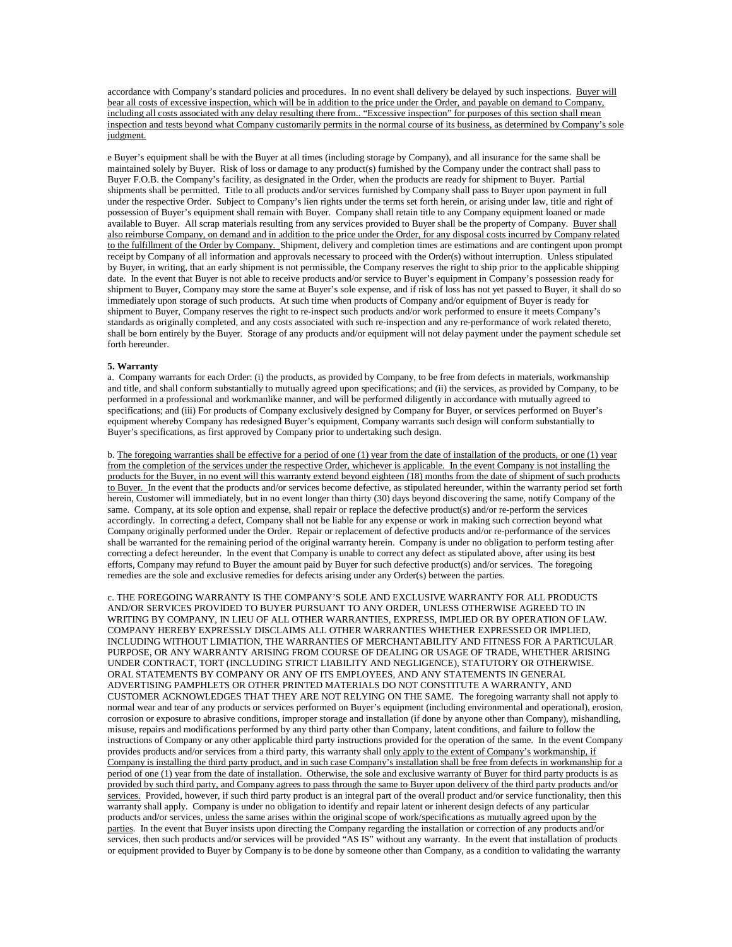accordance with Company's standard policies and procedures. In no event shall delivery be delayed by such inspections. Buyer will bear all costs of excessive inspection, which will be in addition to the price under the Order, and payable on demand to Company, including all costs associated with any delay resulting there from.. "Excessive inspection" for purposes of this section shall mean inspection and tests beyond what Company customarily permits in the normal course of its business, as determined by Company's sole judgment.

e Buyer's equipment shall be with the Buyer at all times (including storage by Company), and all insurance for the same shall be maintained solely by Buyer. Risk of loss or damage to any product(s) furnished by the Company under the contract shall pass to Buyer F.O.B. the Company's facility, as designated in the Order, when the products are ready for shipment to Buyer. Partial shipments shall be permitted. Title to all products and/or services furnished by Company shall pass to Buyer upon payment in full under the respective Order. Subject to Company's lien rights under the terms set forth herein, or arising under law, title and right of possession of Buyer's equipment shall remain with Buyer. Company shall retain title to any Company equipment loaned or made available to Buyer. All scrap materials resulting from any services provided to Buyer shall be the property of Company. Buyer shall also reimburse Company, on demand and in addition to the price under the Order, for any disposal costs incurred by Company related to the fulfillment of the Order by Company. Shipment, delivery and completion times are estimations and are contingent upon prompt receipt by Company of all information and approvals necessary to proceed with the Order(s) without interruption. Unless stipulated by Buyer, in writing, that an early shipment is not permissible, the Company reserves the right to ship prior to the applicable shipping date. In the event that Buyer is not able to receive products and/or service to Buyer's equipment in Company's possession ready for shipment to Buyer, Company may store the same at Buyer's sole expense, and if risk of loss has not yet passed to Buyer, it shall do so immediately upon storage of such products. At such time when products of Company and/or equipment of Buyer is ready for shipment to Buyer, Company reserves the right to re-inspect such products and/or work performed to ensure it meets Company's standards as originally completed, and any costs associated with such re-inspection and any re-performance of work related thereto, shall be born entirely by the Buyer. Storage of any products and/or equipment will not delay payment under the payment schedule set forth hereunder.

## **5. Warranty**

a. Company warrants for each Order: (i) the products, as provided by Company, to be free from defects in materials, workmanship and title, and shall conform substantially to mutually agreed upon specifications; and (ii) the services, as provided by Company, to be performed in a professional and workmanlike manner, and will be performed diligently in accordance with mutually agreed to specifications; and (iii) For products of Company exclusively designed by Company for Buyer, or services performed on Buyer's equipment whereby Company has redesigned Buyer's equipment, Company warrants such design will conform substantially to Buyer's specifications, as first approved by Company prior to undertaking such design.

b. The foregoing warranties shall be effective for a period of one (1) year from the date of installation of the products, or one (1) year from the completion of the services under the respective Order, whichever is applicable. In the event Company is not installing the products for the Buyer, in no event will this warranty extend beyond eighteen (18) months from the date of shipment of such products to Buyer. In the event that the products and/or services become defective, as stipulated hereunder, within the warranty period set forth herein, Customer will immediately, but in no event longer than thirty (30) days beyond discovering the same, notify Company of the same. Company, at its sole option and expense, shall repair or replace the defective product(s) and/or re-perform the services accordingly. In correcting a defect, Company shall not be liable for any expense or work in making such correction beyond what Company originally performed under the Order. Repair or replacement of defective products and/or re-performance of the services shall be warranted for the remaining period of the original warranty herein. Company is under no obligation to perform testing after correcting a defect hereunder. In the event that Company is unable to correct any defect as stipulated above, after using its best efforts, Company may refund to Buyer the amount paid by Buyer for such defective product(s) and/or services. The foregoing remedies are the sole and exclusive remedies for defects arising under any Order(s) between the parties.

c. THE FOREGOING WARRANTY IS THE COMPANY'S SOLE AND EXCLUSIVE WARRANTY FOR ALL PRODUCTS AND/OR SERVICES PROVIDED TO BUYER PURSUANT TO ANY ORDER, UNLESS OTHERWISE AGREED TO IN WRITING BY COMPANY, IN LIEU OF ALL OTHER WARRANTIES, EXPRESS, IMPLIED OR BY OPERATION OF LAW. COMPANY HEREBY EXPRESSLY DISCLAIMS ALL OTHER WARRANTIES WHETHER EXPRESSED OR IMPLIED, INCLUDING WITHOUT LIMIATION, THE WARRANTIES OF MERCHANTABILITY AND FITNESS FOR A PARTICULAR PURPOSE, OR ANY WARRANTY ARISING FROM COURSE OF DEALING OR USAGE OF TRADE, WHETHER ARISING UNDER CONTRACT, TORT (INCLUDING STRICT LIABILITY AND NEGLIGENCE), STATUTORY OR OTHERWISE. ORAL STATEMENTS BY COMPANY OR ANY OF ITS EMPLOYEES, AND ANY STATEMENTS IN GENERAL ADVERTISING PAMPHLETS OR OTHER PRINTED MATERIALS DO NOT CONSTITUTE A WARRANTY, AND CUSTOMER ACKNOWLEDGES THAT THEY ARE NOT RELYING ON THE SAME. The foregoing warranty shall not apply to normal wear and tear of any products or services performed on Buyer's equipment (including environmental and operational), erosion, corrosion or exposure to abrasive conditions, improper storage and installation (if done by anyone other than Company), mishandling, misuse, repairs and modifications performed by any third party other than Company, latent conditions, and failure to follow the instructions of Company or any other applicable third party instructions provided for the operation of the same. In the event Company provides products and/or services from a third party, this warranty shall only apply to the extent of Company's workmanship, if Company is installing the third party product, and in such case Company's installation shall be free from defects in workmanship for a period of one (1) year from the date of installation. Otherwise, the sole and exclusive warranty of Buyer for third party products is as provided by such third party, and Company agrees to pass through the same to Buyer upon delivery of the third party products and/or services. Provided, however, if such third party product is an integral part of the overall product and/or service functionality, then this warranty shall apply. Company is under no obligation to identify and repair latent or inherent design defects of any particular products and/or services, unless the same arises within the original scope of work/specifications as mutually agreed upon by the parties. In the event that Buyer insists upon directing the Company regarding the installation or correction of any products and/or services, then such products and/or services will be provided "AS IS" without any warranty. In the event that installation of products or equipment provided to Buyer by Company is to be done by someone other than Company, as a condition to validating the warranty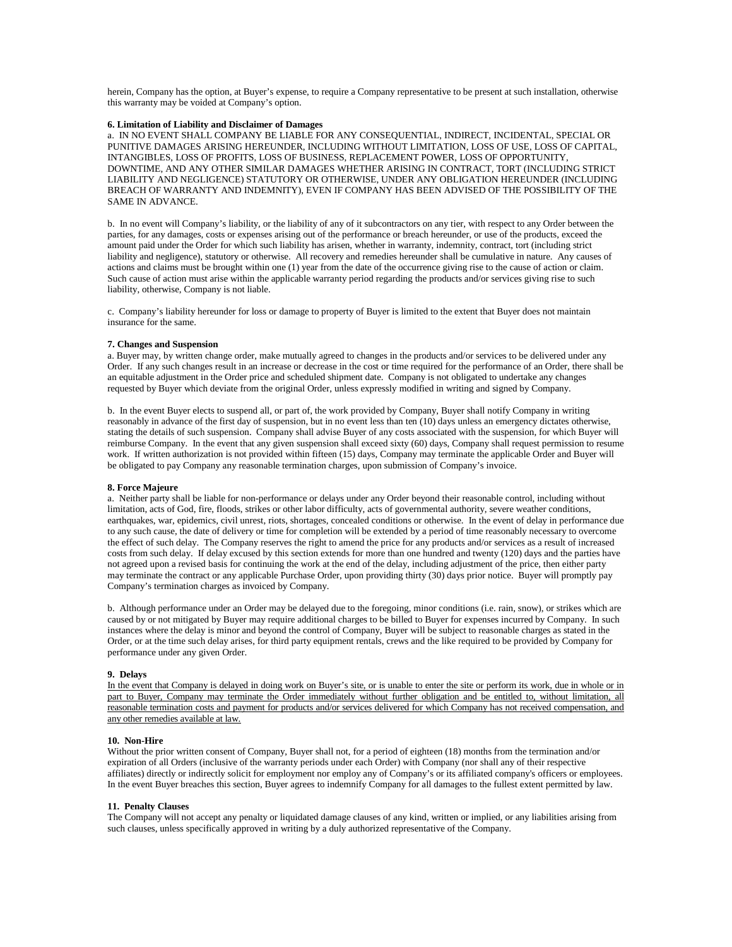herein, Company has the option, at Buyer's expense, to require a Company representative to be present at such installation, otherwise this warranty may be voided at Company's option.

# **6. Limitation of Liability and Disclaimer of Damages**

a. IN NO EVENT SHALL COMPANY BE LIABLE FOR ANY CONSEQUENTIAL, INDIRECT, INCIDENTAL, SPECIAL OR PUNITIVE DAMAGES ARISING HEREUNDER, INCLUDING WITHOUT LIMITATION, LOSS OF USE, LOSS OF CAPITAL, INTANGIBLES, LOSS OF PROFITS, LOSS OF BUSINESS, REPLACEMENT POWER, LOSS OF OPPORTUNITY, DOWNTIME, AND ANY OTHER SIMILAR DAMAGES WHETHER ARISING IN CONTRACT, TORT (INCLUDING STRICT LIABILITY AND NEGLIGENCE) STATUTORY OR OTHERWISE, UNDER ANY OBLIGATION HEREUNDER (INCLUDING BREACH OF WARRANTY AND INDEMNITY), EVEN IF COMPANY HAS BEEN ADVISED OF THE POSSIBILITY OF THE SAME IN ADVANCE.

b. In no event will Company's liability, or the liability of any of it subcontractors on any tier, with respect to any Order between the parties, for any damages, costs or expenses arising out of the performance or breach hereunder, or use of the products, exceed the amount paid under the Order for which such liability has arisen, whether in warranty, indemnity, contract, tort (including strict liability and negligence), statutory or otherwise. All recovery and remedies hereunder shall be cumulative in nature. Any causes of actions and claims must be brought within one (1) year from the date of the occurrence giving rise to the cause of action or claim. Such cause of action must arise within the applicable warranty period regarding the products and/or services giving rise to such liability, otherwise, Company is not liable.

c. Company's liability hereunder for loss or damage to property of Buyer is limited to the extent that Buyer does not maintain insurance for the same.

## **7. Changes and Suspension**

a. Buyer may, by written change order, make mutually agreed to changes in the products and/or services to be delivered under any Order. If any such changes result in an increase or decrease in the cost or time required for the performance of an Order, there shall be an equitable adjustment in the Order price and scheduled shipment date. Company is not obligated to undertake any changes requested by Buyer which deviate from the original Order, unless expressly modified in writing and signed by Company.

b. In the event Buyer elects to suspend all, or part of, the work provided by Company, Buyer shall notify Company in writing reasonably in advance of the first day of suspension, but in no event less than ten (10) days unless an emergency dictates otherwise, stating the details of such suspension. Company shall advise Buyer of any costs associated with the suspension, for which Buyer will reimburse Company. In the event that any given suspension shall exceed sixty (60) days, Company shall request permission to resume work. If written authorization is not provided within fifteen (15) days, Company may terminate the applicable Order and Buyer will be obligated to pay Company any reasonable termination charges, upon submission of Company's invoice.

### **8. Force Majeure**

a. Neither party shall be liable for non-performance or delays under any Order beyond their reasonable control, including without limitation, acts of God, fire, floods, strikes or other labor difficulty, acts of governmental authority, severe weather conditions, earthquakes, war, epidemics, civil unrest, riots, shortages, concealed conditions or otherwise. In the event of delay in performance due to any such cause, the date of delivery or time for completion will be extended by a period of time reasonably necessary to overcome the effect of such delay. The Company reserves the right to amend the price for any products and/or services as a result of increased costs from such delay. If delay excused by this section extends for more than one hundred and twenty (120) days and the parties have not agreed upon a revised basis for continuing the work at the end of the delay, including adjustment of the price, then either party may terminate the contract or any applicable Purchase Order, upon providing thirty (30) days prior notice. Buyer will promptly pay Company's termination charges as invoiced by Company.

b. Although performance under an Order may be delayed due to the foregoing, minor conditions (i.e. rain, snow), or strikes which are caused by or not mitigated by Buyer may require additional charges to be billed to Buyer for expenses incurred by Company. In such instances where the delay is minor and beyond the control of Company, Buyer will be subject to reasonable charges as stated in the Order, or at the time such delay arises, for third party equipment rentals, crews and the like required to be provided by Company for performance under any given Order.

#### **9. Delays**

In the event that Company is delayed in doing work on Buyer's site, or is unable to enter the site or perform its work, due in whole or in part to Buyer, Company may terminate the Order immediately without further obligation and be entitled to, without limitation, all reasonable termination costs and payment for products and/or services delivered for which Company has not received compensation, and any other remedies available at law.

#### **10. Non-Hire**

Without the prior written consent of Company, Buyer shall not, for a period of eighteen (18) months from the termination and/or expiration of all Orders (inclusive of the warranty periods under each Order) with Company (nor shall any of their respective affiliates) directly or indirectly solicit for employment nor employ any of Company's or its affiliated company's officers or employees. In the event Buyer breaches this section, Buyer agrees to indemnify Company for all damages to the fullest extent permitted by law.

## **11. Penalty Clauses**

The Company will not accept any penalty or liquidated damage clauses of any kind, written or implied, or any liabilities arising from such clauses, unless specifically approved in writing by a duly authorized representative of the Company.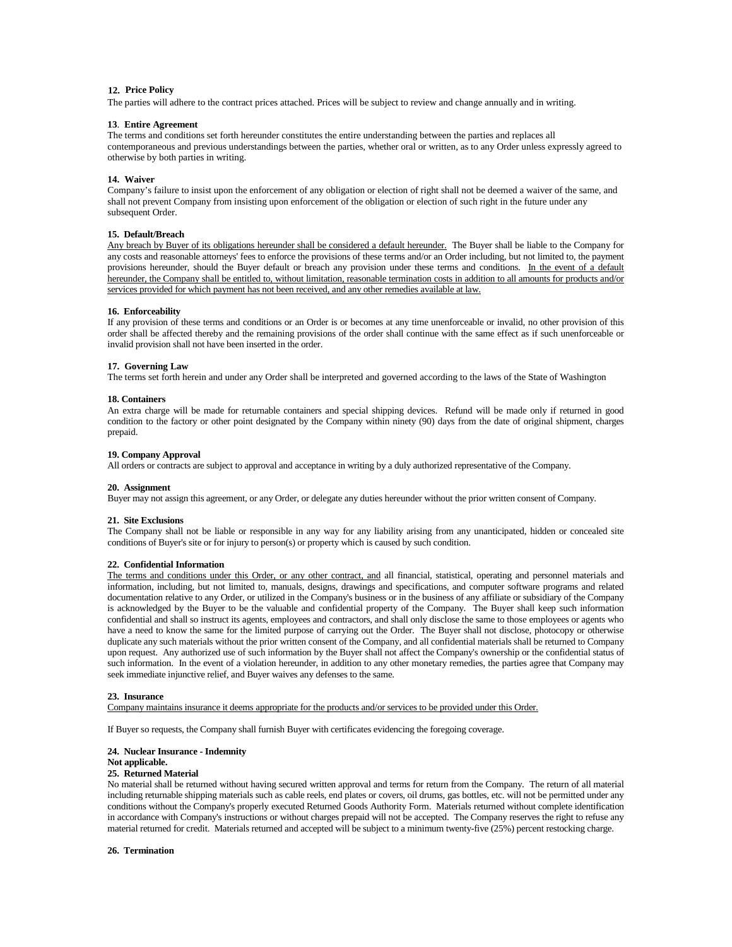# **12. Price Policy**

The parties will adhere to the contract prices attached. Prices will be subject to review and change annually and in writing.

# **13**. **Entire Agreement**

The terms and conditions set forth hereunder constitutes the entire understanding between the parties and replaces all contemporaneous and previous understandings between the parties, whether oral or written, as to any Order unless expressly agreed to otherwise by both parties in writing.

## **14. Waiver**

Company's failure to insist upon the enforcement of any obligation or election of right shall not be deemed a waiver of the same, and shall not prevent Company from insisting upon enforcement of the obligation or election of such right in the future under any subsequent Order.

## **15. Default/Breach**

Any breach by Buyer of its obligations hereunder shall be considered a default hereunder. The Buyer shall be liable to the Company for any costs and reasonable attorneys' fees to enforce the provisions of these terms and/or an Order including, but not limited to, the payment provisions hereunder, should the Buyer default or breach any provision under these terms and conditions. In the event of a default hereunder, the Company shall be entitled to, without limitation, reasonable termination costs in addition to all amounts for products and/or services provided for which payment has not been received, and any other remedies available at law.

### **16. Enforceability**

If any provision of these terms and conditions or an Order is or becomes at any time unenforceable or invalid, no other provision of this order shall be affected thereby and the remaining provisions of the order shall continue with the same effect as if such unenforceable or invalid provision shall not have been inserted in the order.

## **17. Governing Law**

The terms set forth herein and under any Order shall be interpreted and governed according to the laws of the State of Washington

#### **18. Containers**

An extra charge will be made for returnable containers and special shipping devices. Refund will be made only if returned in good condition to the factory or other point designated by the Company within ninety (90) days from the date of original shipment, charges prepaid.

#### **19. Company Approval**

All orders or contracts are subject to approval and acceptance in writing by a duly authorized representative of the Company.

#### **20. Assignment**

Buyer may not assign this agreement, or any Order, or delegate any duties hereunder without the prior written consent of Company.

### **21. Site Exclusions**

The Company shall not be liable or responsible in any way for any liability arising from any unanticipated, hidden or concealed site conditions of Buyer's site or for injury to person(s) or property which is caused by such condition.

## **22. Confidential Information**

The terms and conditions under this Order, or any other contract, and all financial, statistical, operating and personnel materials and information, including, but not limited to, manuals, designs, drawings and specifications, and computer software programs and related documentation relative to any Order, or utilized in the Company's business or in the business of any affiliate or subsidiary of the Company is acknowledged by the Buyer to be the valuable and confidential property of the Company. The Buyer shall keep such information confidential and shall so instruct its agents, employees and contractors, and shall only disclose the same to those employees or agents who have a need to know the same for the limited purpose of carrying out the Order. The Buyer shall not disclose, photocopy or otherwise duplicate any such materials without the prior written consent of the Company, and all confidential materials shall be returned to Company upon request. Any authorized use of such information by the Buyer shall not affect the Company's ownership or the confidential status of such information. In the event of a violation hereunder, in addition to any other monetary remedies, the parties agree that Company may seek immediate injunctive relief, and Buyer waives any defenses to the same.

#### **23. Insurance**

Company maintains insurance it deems appropriate for the products and/or services to be provided under this Order.

If Buyer so requests, the Company shall furnish Buyer with certificates evidencing the foregoing coverage.

#### **24. Nuclear Insurance - Indemnity**

# **Not applicable.**

# **25. Returned Material**

No material shall be returned without having secured written approval and terms for return from the Company. The return of all material including returnable shipping materials such as cable reels, end plates or covers, oil drums, gas bottles, etc. will not be permitted under any conditions without the Company's properly executed Returned Goods Authority Form. Materials returned without complete identification in accordance with Company's instructions or without charges prepaid will not be accepted. The Company reserves the right to refuse any material returned for credit. Materials returned and accepted will be subject to a minimum twenty-five (25%) percent restocking charge.

#### **26. Termination**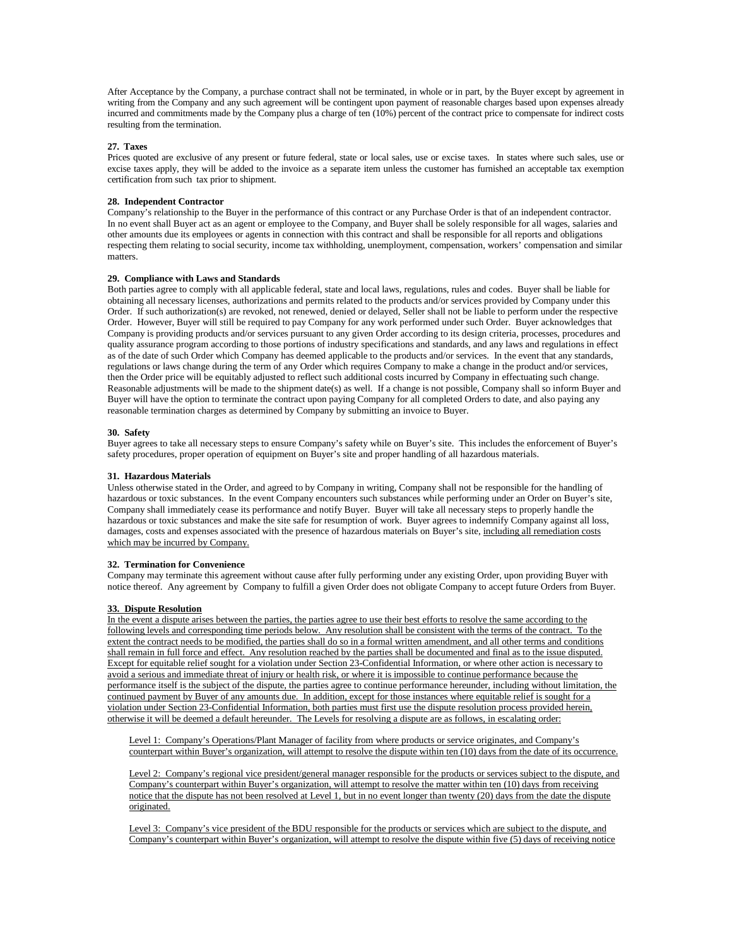After Acceptance by the Company, a purchase contract shall not be terminated, in whole or in part, by the Buyer except by agreement in writing from the Company and any such agreement will be contingent upon payment of reasonable charges based upon expenses already incurred and commitments made by the Company plus a charge of ten (10%) percent of the contract price to compensate for indirect costs resulting from the termination.

## **27. Taxes**

Prices quoted are exclusive of any present or future federal, state or local sales, use or excise taxes. In states where such sales, use or excise taxes apply, they will be added to the invoice as a separate item unless the customer has furnished an acceptable tax exemption certification from such tax prior to shipment.

#### **28. Independent Contractor**

Company's relationship to the Buyer in the performance of this contract or any Purchase Order is that of an independent contractor. In no event shall Buyer act as an agent or employee to the Company, and Buyer shall be solely responsible for all wages, salaries and other amounts due its employees or agents in connection with this contract and shall be responsible for all reports and obligations respecting them relating to social security, income tax withholding, unemployment, compensation, workers' compensation and similar matters.

## **29. Compliance with Laws and Standards**

Both parties agree to comply with all applicable federal, state and local laws, regulations, rules and codes. Buyer shall be liable for obtaining all necessary licenses, authorizations and permits related to the products and/or services provided by Company under this Order. If such authorization(s) are revoked, not renewed, denied or delayed, Seller shall not be liable to perform under the respective Order. However, Buyer will still be required to pay Company for any work performed under such Order. Buyer acknowledges that Company is providing products and/or services pursuant to any given Order according to its design criteria, processes, procedures and quality assurance program according to those portions of industry specifications and standards, and any laws and regulations in effect as of the date of such Order which Company has deemed applicable to the products and/or services. In the event that any standards, regulations or laws change during the term of any Order which requires Company to make a change in the product and/or services, then the Order price will be equitably adjusted to reflect such additional costs incurred by Company in effectuating such change. Reasonable adjustments will be made to the shipment date(s) as well. If a change is not possible, Company shall so inform Buyer and Buyer will have the option to terminate the contract upon paying Company for all completed Orders to date, and also paying any reasonable termination charges as determined by Company by submitting an invoice to Buyer.

## **30. Safety**

Buyer agrees to take all necessary steps to ensure Company's safety while on Buyer's site. This includes the enforcement of Buyer's safety procedures, proper operation of equipment on Buyer's site and proper handling of all hazardous materials.

#### **31. Hazardous Materials**

Unless otherwise stated in the Order, and agreed to by Company in writing, Company shall not be responsible for the handling of hazardous or toxic substances. In the event Company encounters such substances while performing under an Order on Buyer's site, Company shall immediately cease its performance and notify Buyer. Buyer will take all necessary steps to properly handle the hazardous or toxic substances and make the site safe for resumption of work. Buyer agrees to indemnify Company against all loss, damages, costs and expenses associated with the presence of hazardous materials on Buyer's site, including all remediation costs which may be incurred by Company.

### **32. Termination for Convenience**

Company may terminate this agreement without cause after fully performing under any existing Order, upon providing Buyer with notice thereof. Any agreement by Company to fulfill a given Order does not obligate Company to accept future Orders from Buyer.

### **33. Dispute Resolution**

In the event a dispute arises between the parties, the parties agree to use their best efforts to resolve the same according to the following levels and corresponding time periods below. Any resolution shall be consistent with the terms of the contract. To the extent the contract needs to be modified, the parties shall do so in a formal written amendment, and all other terms and conditions shall remain in full force and effect. Any resolution reached by the parties shall be documented and final as to the issue disputed. Except for equitable relief sought for a violation under Section 23-Confidential Information, or where other action is necessary to avoid a serious and immediate threat of injury or health risk, or where it is impossible to continue performance because the performance itself is the subject of the dispute, the parties agree to continue performance hereunder, including without limitation, the continued payment by Buyer of any amounts due. In addition, except for those instances where equitable relief is sought for a violation under Section 23-Confidential Information, both parties must first use the dispute resolution process provided herein, otherwise it will be deemed a default hereunder. The Levels for resolving a dispute are as follows, in escalating order:

Level 1: Company's Operations/Plant Manager of facility from where products or service originates, and Company's counterpart within Buyer's organization, will attempt to resolve the dispute within ten (10) days from the date of its occurrence.

Level 2: Company's regional vice president/general manager responsible for the products or services subject to the dispute, and Company's counterpart within Buyer's organization, will attempt to resolve the matter within ten (10) days from receiving notice that the dispute has not been resolved at Level 1, but in no event longer than twenty (20) days from the date the dispute originated.

Level 3: Company's vice president of the BDU responsible for the products or services which are subject to the dispute, and Company's counterpart within Buyer's organization, will attempt to resolve the dispute within five (5) days of receiving notice